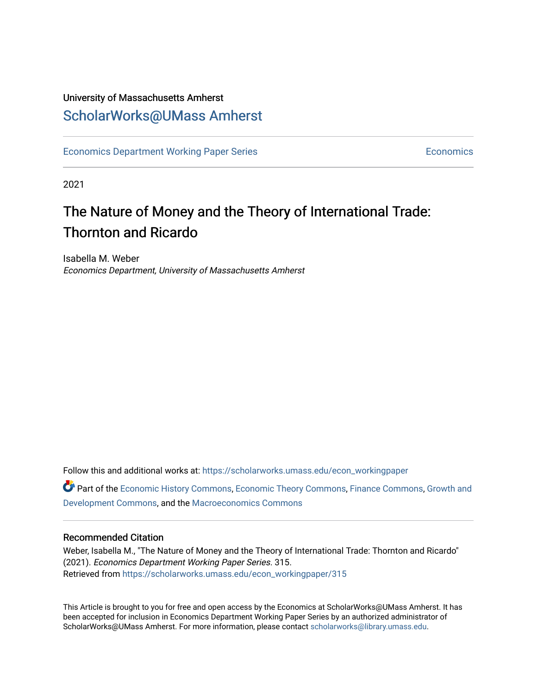## University of Massachusetts Amherst [ScholarWorks@UMass Amherst](https://scholarworks.umass.edu/)

[Economics Department Working Paper Series](https://scholarworks.umass.edu/econ_workingpaper) **Economics** [Economics](https://scholarworks.umass.edu/economics) Economics

2021

# The Nature of Money and the Theory of International Trade: Thornton and Ricardo

Isabella M. Weber Economics Department, University of Massachusetts Amherst

Follow this and additional works at: [https://scholarworks.umass.edu/econ\\_workingpaper](https://scholarworks.umass.edu/econ_workingpaper?utm_source=scholarworks.umass.edu%2Fecon_workingpaper%2F315&utm_medium=PDF&utm_campaign=PDFCoverPages) 

Part of the [Economic History Commons](http://network.bepress.com/hgg/discipline/343?utm_source=scholarworks.umass.edu%2Fecon_workingpaper%2F315&utm_medium=PDF&utm_campaign=PDFCoverPages), [Economic Theory Commons,](http://network.bepress.com/hgg/discipline/344?utm_source=scholarworks.umass.edu%2Fecon_workingpaper%2F315&utm_medium=PDF&utm_campaign=PDFCoverPages) [Finance Commons,](http://network.bepress.com/hgg/discipline/345?utm_source=scholarworks.umass.edu%2Fecon_workingpaper%2F315&utm_medium=PDF&utm_campaign=PDFCoverPages) [Growth and](http://network.bepress.com/hgg/discipline/346?utm_source=scholarworks.umass.edu%2Fecon_workingpaper%2F315&utm_medium=PDF&utm_campaign=PDFCoverPages) [Development Commons](http://network.bepress.com/hgg/discipline/346?utm_source=scholarworks.umass.edu%2Fecon_workingpaper%2F315&utm_medium=PDF&utm_campaign=PDFCoverPages), and the [Macroeconomics Commons](http://network.bepress.com/hgg/discipline/350?utm_source=scholarworks.umass.edu%2Fecon_workingpaper%2F315&utm_medium=PDF&utm_campaign=PDFCoverPages)

#### Recommended Citation

Weber, Isabella M., "The Nature of Money and the Theory of International Trade: Thornton and Ricardo" (2021). Economics Department Working Paper Series. 315. Retrieved from [https://scholarworks.umass.edu/econ\\_workingpaper/315](https://scholarworks.umass.edu/econ_workingpaper/315?utm_source=scholarworks.umass.edu%2Fecon_workingpaper%2F315&utm_medium=PDF&utm_campaign=PDFCoverPages)

This Article is brought to you for free and open access by the Economics at ScholarWorks@UMass Amherst. It has been accepted for inclusion in Economics Department Working Paper Series by an authorized administrator of ScholarWorks@UMass Amherst. For more information, please contact [scholarworks@library.umass.edu.](mailto:scholarworks@library.umass.edu)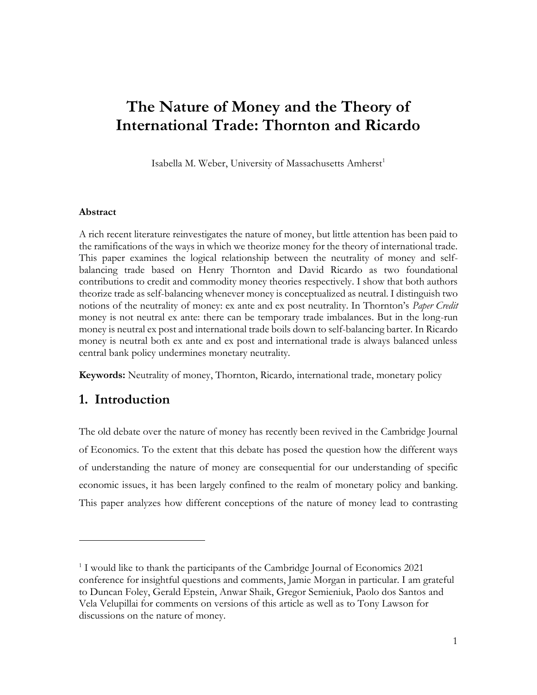# **The Nature of Money and the Theory of International Trade: Thornton and Ricardo**

Isabella M. Weber, University of Massachusetts Amherst<sup>1</sup>

#### **Abstract**

A rich recent literature reinvestigates the nature of money, but little attention has been paid to the ramifications of the ways in which we theorize money for the theory of international trade. This paper examines the logical relationship between the neutrality of money and selfbalancing trade based on Henry Thornton and David Ricardo as two foundational contributions to credit and commodity money theories respectively. I show that both authors theorize trade as self-balancing whenever money is conceptualized as neutral. I distinguish two notions of the neutrality of money: ex ante and ex post neutrality. In Thornton's *Paper Credit* money is not neutral ex ante: there can be temporary trade imbalances. But in the long-run money is neutral ex post and international trade boils down to self-balancing barter. In Ricardo money is neutral both ex ante and ex post and international trade is always balanced unless central bank policy undermines monetary neutrality.

**Keywords:** Neutrality of money, Thornton, Ricardo, international trade, monetary policy

## **1. Introduction**

The old debate over the nature of money has recently been revived in the Cambridge Journal of Economics. To the extent that this debate has posed the question how the different ways of understanding the nature of money are consequential for our understanding of specific economic issues, it has been largely confined to the realm of monetary policy and banking. This paper analyzes how different conceptions of the nature of money lead to contrasting

<sup>&</sup>lt;sup>1</sup> I would like to thank the participants of the Cambridge Journal of Economics 2021 conference for insightful questions and comments, Jamie Morgan in particular. I am grateful to Duncan Foley, Gerald Epstein, Anwar Shaik, Gregor Semieniuk, Paolo dos Santos and Vela Velupillai for comments on versions of this article as well as to Tony Lawson for discussions on the nature of money.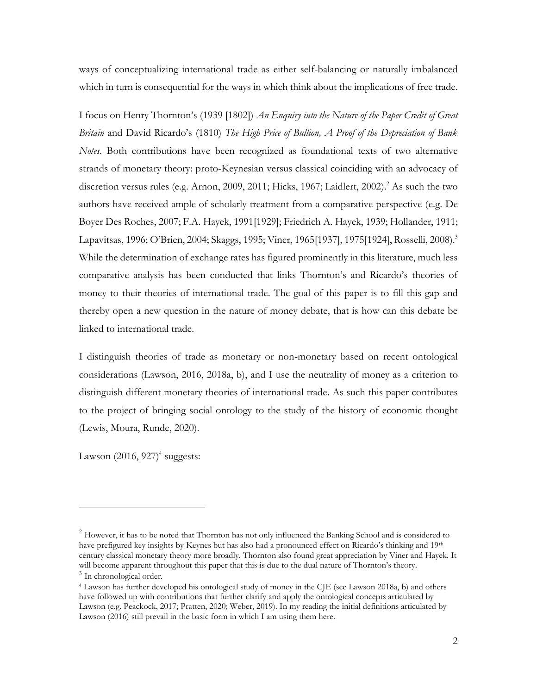ways of conceptualizing international trade as either self-balancing or naturally imbalanced which in turn is consequential for the ways in which think about the implications of free trade.

I focus on Henry Thornton's (1939 [1802]) *An Enquiry into the Nature of the Paper Credit of Great Britain* and David Ricardo's (1810) *The High Price of Bullion, A Proof of the Depreciation of Bank Notes*. Both contributions have been recognized as foundational texts of two alternative strands of monetary theory: proto-Keynesian versus classical coinciding with an advocacy of discretion versus rules (e.g. Arnon, 2009, 2011; Hicks, 1967; Laidlert, 2002).<sup>2</sup> As such the two authors have received ample of scholarly treatment from a comparative perspective (e.g. De Boyer Des Roches, 2007; F.A. Hayek, 1991[1929]; Friedrich A. Hayek, 1939; Hollander, 1911; Lapavitsas, 1996; O'Brien, 2004; Skaggs, 1995; Viner, 1965[1937], 1975[1924], Rosselli, 2008).<sup>3</sup> While the determination of exchange rates has figured prominently in this literature, much less comparative analysis has been conducted that links Thornton's and Ricardo's theories of money to their theories of international trade. The goal of this paper is to fill this gap and thereby open a new question in the nature of money debate, that is how can this debate be linked to international trade.

I distinguish theories of trade as monetary or non-monetary based on recent ontological considerations (Lawson, 2016, 2018a, b), and I use the neutrality of money as a criterion to distinguish different monetary theories of international trade. As such this paper contributes to the project of bringing social ontology to the study of the history of economic thought (Lewis, Moura, Runde, 2020).

Lawson (2016, 927)<sup>4</sup> suggests:

<sup>&</sup>lt;sup>2</sup> However, it has to be noted that Thornton has not only influenced the Banking School and is considered to have prefigured key insights by Keynes but has also had a pronounced effect on Ricardo's thinking and 19th century classical monetary theory more broadly. Thornton also found great appreciation by Viner and Hayek. It will become apparent throughout this paper that this is due to the dual nature of Thornton's theory. <sup>3</sup> In chronological order.

<sup>4</sup> Lawson has further developed his ontological study of money in the CJE (see Lawson 2018a, b) and others have followed up with contributions that further clarify and apply the ontological concepts articulated by Lawson (e.g. Peackock, 2017; Pratten, 2020; Weber, 2019). In my reading the initial definitions articulated by Lawson (2016) still prevail in the basic form in which I am using them here.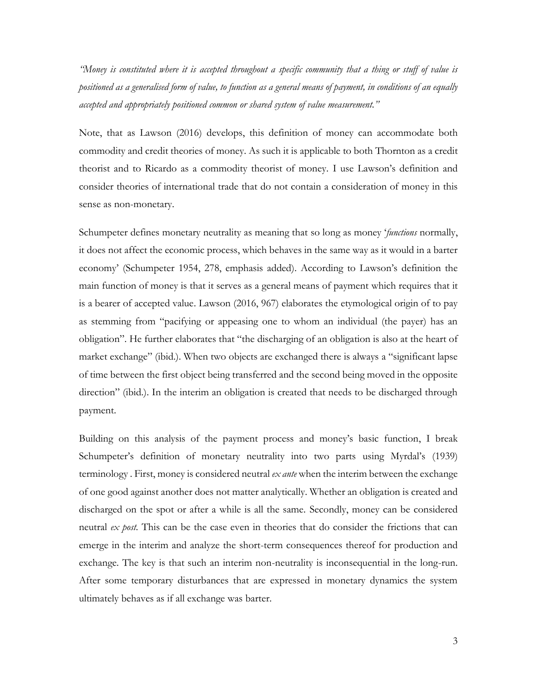*"Money is constituted where it is accepted throughout a specific community that a thing or stuff of value is positioned as a generalised form of value, to function as a general means of payment, in conditions of an equally accepted and appropriately positioned common or shared system of value measurement."*

Note, that as Lawson (2016) develops, this definition of money can accommodate both commodity and credit theories of money. As such it is applicable to both Thornton as a credit theorist and to Ricardo as a commodity theorist of money. I use Lawson's definition and consider theories of international trade that do not contain a consideration of money in this sense as non-monetary.

Schumpeter defines monetary neutrality as meaning that so long as money '*functions* normally, it does not affect the economic process, which behaves in the same way as it would in a barter economy' (Schumpeter 1954, 278, emphasis added). According to Lawson's definition the main function of money is that it serves as a general means of payment which requires that it is a bearer of accepted value. Lawson (2016, 967) elaborates the etymological origin of to pay as stemming from "pacifying or appeasing one to whom an individual (the payer) has an obligation". He further elaborates that "the discharging of an obligation is also at the heart of market exchange" (ibid.). When two objects are exchanged there is always a "significant lapse of time between the first object being transferred and the second being moved in the opposite direction" (ibid.). In the interim an obligation is created that needs to be discharged through payment.

Building on this analysis of the payment process and money's basic function, I break Schumpeter's definition of monetary neutrality into two parts using Myrdal's (1939) terminology . First, money is considered neutral *ex ante* when the interim between the exchange of one good against another does not matter analytically. Whether an obligation is created and discharged on the spot or after a while is all the same. Secondly, money can be considered neutral *ex post.* This can be the case even in theories that do consider the frictions that can emerge in the interim and analyze the short-term consequences thereof for production and exchange. The key is that such an interim non-neutrality is inconsequential in the long-run. After some temporary disturbances that are expressed in monetary dynamics the system ultimately behaves as if all exchange was barter.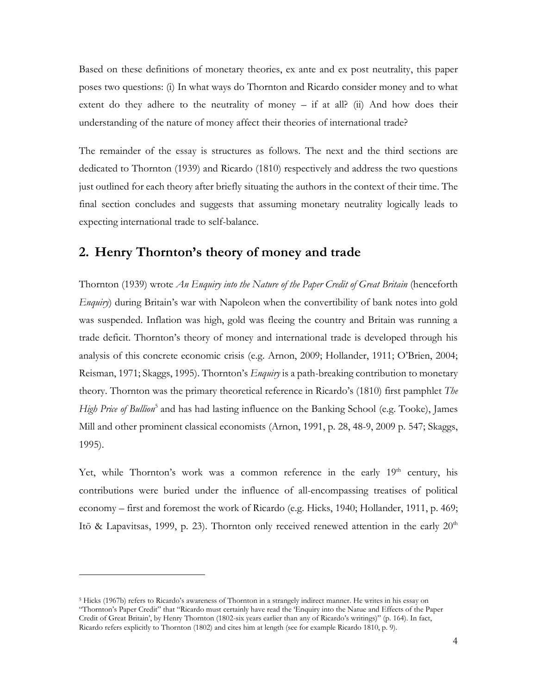Based on these definitions of monetary theories, ex ante and ex post neutrality, this paper poses two questions: (i) In what ways do Thornton and Ricardo consider money and to what extent do they adhere to the neutrality of money – if at all? (ii) And how does their understanding of the nature of money affect their theories of international trade?

The remainder of the essay is structures as follows. The next and the third sections are dedicated to Thornton (1939) and Ricardo (1810) respectively and address the two questions just outlined for each theory after briefly situating the authors in the context of their time. The final section concludes and suggests that assuming monetary neutrality logically leads to expecting international trade to self-balance.

## **2. Henry Thornton's theory of money and trade**

Thornton (1939) wrote *An Enquiry into the Nature of the Paper Credit of Great Britain* (henceforth *Enquiry*) during Britain's war with Napoleon when the convertibility of bank notes into gold was suspended. Inflation was high, gold was fleeing the country and Britain was running a trade deficit. Thornton's theory of money and international trade is developed through his analysis of this concrete economic crisis (e.g. Arnon, 2009; Hollander, 1911; O'Brien, 2004; Reisman, 1971; Skaggs, 1995). Thornton's *Enquiry* is a path-breaking contribution to monetary theory. Thornton was the primary theoretical reference in Ricardo's (1810) first pamphlet *The*  High Price of Bullion<sup>5</sup> and has had lasting influence on the Banking School (e.g. Tooke), James Mill and other prominent classical economists (Arnon, 1991, p. 28, 48-9, 2009 p. 547; Skaggs, 1995).

Yet, while Thornton's work was a common reference in the early  $19<sup>th</sup>$  century, his contributions were buried under the influence of all-encompassing treatises of political economy – first and foremost the work of Ricardo (e.g. Hicks, 1940; Hollander, 1911, p. 469; Itō & Lapavitsas, 1999, p. 23). Thornton only received renewed attention in the early  $20<sup>th</sup>$ 

<sup>5</sup> Hicks (1967b) refers to Ricardo's awareness of Thornton in a strangely indirect manner. He writes in his essay on "Thornton's Paper Credit" that "Ricardo must certainly have read the 'Enquiry into the Natue and Effects of the Paper Credit of Great Britain', by Henry Thornton (1802-six years earlier than any of Ricardo's writings)" (p. 164). In fact, Ricardo refers explicitly to Thornton (1802) and cites him at length (see for example Ricardo 1810, p. 9).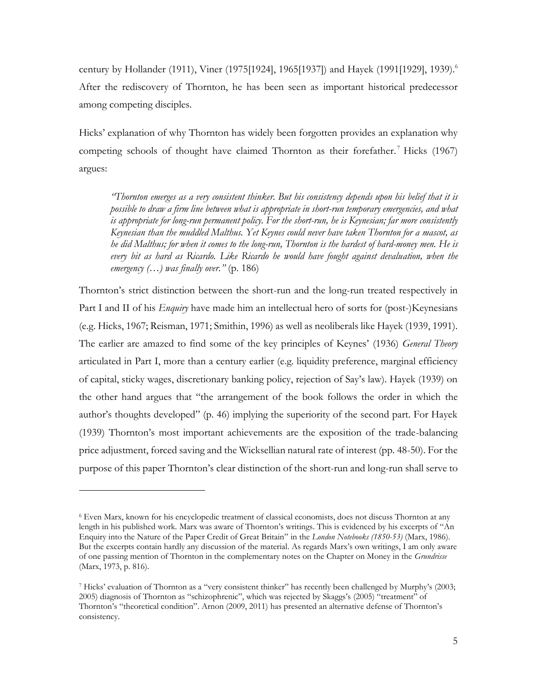century by Hollander (1911), Viner (1975[1924], 1965[1937]) and Hayek (1991[1929], 1939). 6 After the rediscovery of Thornton, he has been seen as important historical predecessor among competing disciples.

Hicks' explanation of why Thornton has widely been forgotten provides an explanation why competing schools of thought have claimed Thornton as their forefather.<sup>7</sup> Hicks (1967) argues:

*"Thornton emerges as a very consistent thinker. But his consistency depends upon his belief that it is possible to draw a firm line between what is appropriate in short-run temporary emergencies, and what is appropriate for long-run permanent policy. For the short-run, he is Keynesian; far more consistently Keynesian than the muddled Malthus. Yet Keynes could never have taken Thornton for a mascot, as he did Malthus; for when it comes to the long-run, Thornton is the hardest of hard-money men. He is every bit as hard as Ricardo. Like Ricardo he would have fought against devaluation, when the emergency (…) was finally over."* (p. 186)

Thornton's strict distinction between the short-run and the long-run treated respectively in Part I and II of his *Enquiry* have made him an intellectual hero of sorts for (post-)Keynesians (e.g. Hicks, 1967; Reisman, 1971; Smithin, 1996) as well as neoliberals like Hayek (1939, 1991). The earlier are amazed to find some of the key principles of Keynes' (1936) *General Theory* articulated in Part I, more than a century earlier (e.g. liquidity preference, marginal efficiency of capital, sticky wages, discretionary banking policy, rejection of Say's law). Hayek (1939) on the other hand argues that "the arrangement of the book follows the order in which the author's thoughts developed" (p. 46) implying the superiority of the second part. For Hayek (1939) Thornton's most important achievements are the exposition of the trade-balancing price adjustment, forced saving and the Wicksellian natural rate of interest (pp. 48-50). For the purpose of this paper Thornton's clear distinction of the short-run and long-run shall serve to

<sup>6</sup> Even Marx, known for his encyclopedic treatment of classical economists, does not discuss Thornton at any length in his published work. Marx was aware of Thornton's writings. This is evidenced by his excerpts of "An Enquiry into the Nature of the Paper Credit of Great Britain" in the *London Notebooks (1850-53)* (Marx, 1986). But the excerpts contain hardly any discussion of the material. As regards Marx's own writings, I am only aware of one passing mention of Thornton in the complementary notes on the Chapter on Money in the *Grundrisse* (Marx, 1973, p. 816).

<sup>7</sup> Hicks' evaluation of Thornton as a "very consistent thinker" has recently been challenged by Murphy's (2003; 2005) diagnosis of Thornton as "schizophrenic", which was rejected by Skaggs's (2005) "treatment" of Thornton's "theoretical condition". Arnon (2009, 2011) has presented an alternative defense of Thornton's consistency.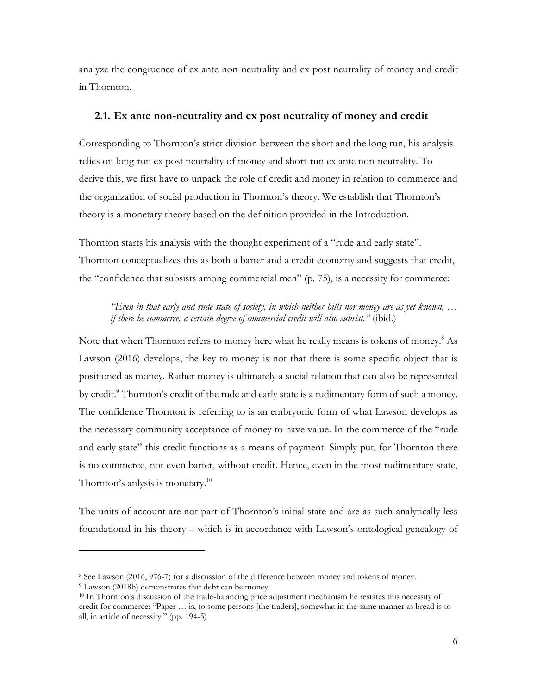analyze the congruence of ex ante non-neutrality and ex post neutrality of money and credit in Thornton.

#### **2.1. Ex ante non-neutrality and ex post neutrality of money and credit**

Corresponding to Thornton's strict division between the short and the long run, his analysis relies on long-run ex post neutrality of money and short-run ex ante non-neutrality. To derive this, we first have to unpack the role of credit and money in relation to commerce and the organization of social production in Thornton's theory. We establish that Thornton's theory is a monetary theory based on the definition provided in the Introduction.

Thornton starts his analysis with the thought experiment of a "rude and early state". Thornton conceptualizes this as both a barter and a credit economy and suggests that credit, the "confidence that subsists among commercial men" (p. 75), is a necessity for commerce:

*"Even in that early and rude state of society, in which neither bills nor money are as yet known, … if there be commerce, a certain degree of commercial credit will also subsist."* (ibid.)

Note that when Thornton refers to money here what he really means is tokens of money.<sup>8</sup> As Lawson (2016) develops, the key to money is not that there is some specific object that is positioned as money. Rather money is ultimately a social relation that can also be represented by credit.<sup>9</sup> Thornton's credit of the rude and early state is a rudimentary form of such a money. The confidence Thornton is referring to is an embryonic form of what Lawson develops as the necessary community acceptance of money to have value. In the commerce of the "rude and early state" this credit functions as a means of payment. Simply put, for Thornton there is no commerce, not even barter, without credit. Hence, even in the most rudimentary state, Thornton's anlysis is monetary.<sup>10</sup>

The units of account are not part of Thornton's initial state and are as such analytically less foundational in his theory – which is in accordance with Lawson's ontological genealogy of

<sup>9</sup> Lawson (2018b) demonstrates that debt can be money.

<sup>8</sup> See Lawson (2016, 976-7) for a discussion of the difference between money and tokens of money.

<sup>10</sup> In Thornton's discussion of the trade-balancing price adjustment mechanism he restates this necessity of credit for commerce: "Paper … is, to some persons [the traders], somewhat in the same manner as bread is to all, in article of necessity." (pp. 194-5)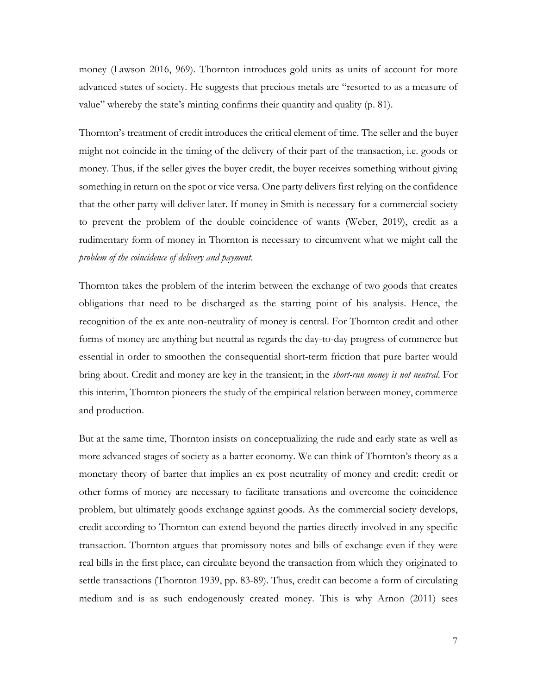money (Lawson 2016, 969). Thornton introduces gold units as units of account for more advanced states of society. He suggests that precious metals are "resorted to as a measure of value" whereby the state's minting confirms their quantity and quality (p. 81).

Thornton's treatment of credit introduces the critical element of time. The seller and the buyer might not coincide in the timing of the delivery of their part of the transaction, i.e. goods or money. Thus, if the seller gives the buyer credit, the buyer receives something without giving something in return on the spot or vice versa. One party delivers first relying on the confidence that the other party will deliver later. If money in Smith is necessary for a commercial society to prevent the problem of the double coincidence of wants (Weber, 2019), credit as a rudimentary form of money in Thornton is necessary to circumvent what we might call the *problem of the coincidence of delivery and payment*.

Thornton takes the problem of the interim between the exchange of two goods that creates obligations that need to be discharged as the starting point of his analysis. Hence, the recognition of the ex ante non-neutrality of money is central. For Thornton credit and other forms of money are anything but neutral as regards the day-to-day progress of commerce but essential in order to smoothen the consequential short-term friction that pure barter would bring about. Credit and money are key in the transient; in the *short-run money is not neutral*. For this interim, Thornton pioneers the study of the empirical relation between money, commerce and production.

But at the same time, Thornton insists on conceptualizing the rude and early state as well as more advanced stages of society as a barter economy. We can think of Thornton's theory as a monetary theory of barter that implies an ex post neutrality of money and credit: credit or other forms of money are necessary to facilitate transations and overcome the coincidence problem, but ultimately goods exchange against goods. As the commercial society develops, credit according to Thornton can extend beyond the parties directly involved in any specific transaction. Thornton argues that promissory notes and bills of exchange even if they were real bills in the first place, can circulate beyond the transaction from which they originated to settle transactions (Thornton 1939, pp. 83-89). Thus, credit can become a form of circulating medium and is as such endogenously created money. This is why Arnon (2011) sees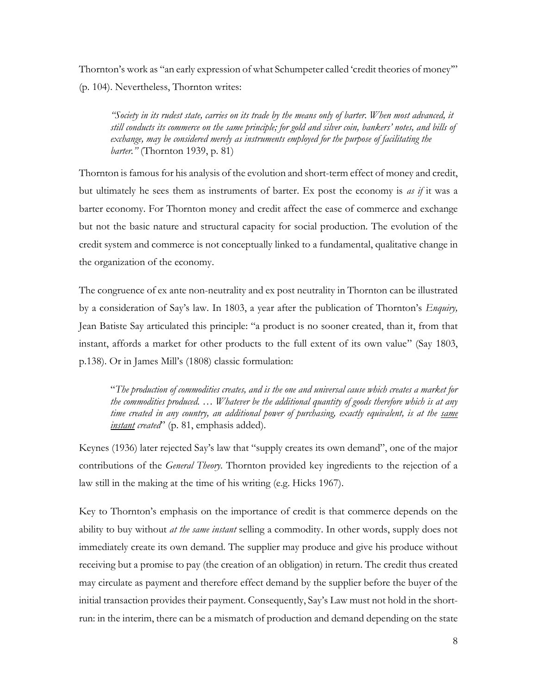Thornton's work as "an early expression of what Schumpeter called 'credit theories of money'" (p. 104). Nevertheless, Thornton writes:

*"Society in its rudest state, carries on its trade by the means only of barter. When most advanced, it still conducts its commerce on the same principle; for gold and silver coin, bankers' notes, and bills of exchange, may be considered merely as instruments employed for the purpose of facilitating the barter."* (Thornton 1939, p. 81)

Thornton is famous for his analysis of the evolution and short-term effect of money and credit, but ultimately he sees them as instruments of barter. Ex post the economy is *as if* it was a barter economy. For Thornton money and credit affect the ease of commerce and exchange but not the basic nature and structural capacity for social production. The evolution of the credit system and commerce is not conceptually linked to a fundamental, qualitative change in the organization of the economy.

The congruence of ex ante non-neutrality and ex post neutrality in Thornton can be illustrated by a consideration of Say's law. In 1803, a year after the publication of Thornton's *Enquiry,*  Jean Batiste Say articulated this principle: "a product is no sooner created, than it, from that instant, affords a market for other products to the full extent of its own value" (Say 1803, p.138). Or in James Mill's (1808) classic formulation:

"*The production of commodities creates, and is the one and universal cause which creates a market for the commodities produced. … Whatever be the additional quantity of goods therefore which is at any time created in any country, an additional power of purchasing, exactly equivalent, is at the same instant created*" (p. 81, emphasis added).

Keynes (1936) later rejected Say's law that "supply creates its own demand", one of the major contributions of the *General Theory*. Thornton provided key ingredients to the rejection of a law still in the making at the time of his writing (e.g. Hicks 1967).

Key to Thornton's emphasis on the importance of credit is that commerce depends on the ability to buy without *at the same instant* selling a commodity. In other words, supply does not immediately create its own demand. The supplier may produce and give his produce without receiving but a promise to pay (the creation of an obligation) in return. The credit thus created may circulate as payment and therefore effect demand by the supplier before the buyer of the initial transaction provides their payment. Consequently, Say's Law must not hold in the shortrun: in the interim, there can be a mismatch of production and demand depending on the state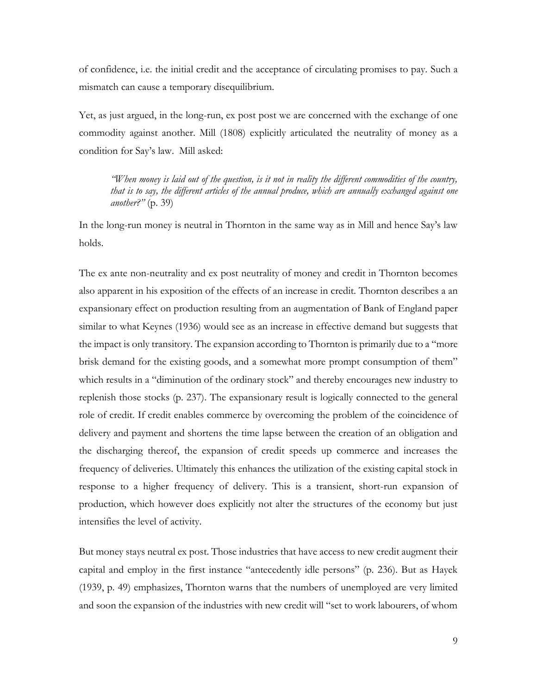of confidence, i.e. the initial credit and the acceptance of circulating promises to pay. Such a mismatch can cause a temporary disequilibrium.

Yet, as just argued, in the long-run, ex post post we are concerned with the exchange of one commodity against another. Mill (1808) explicitly articulated the neutrality of money as a condition for Say's law. Mill asked:

*"When money is laid out of the question, is it not in reality the different commodities of the country, that is to say, the different articles of the annual produce, which are annually exchanged against one another?"* (p. 39)

In the long-run money is neutral in Thornton in the same way as in Mill and hence Say's law holds.

The ex ante non-neutrality and ex post neutrality of money and credit in Thornton becomes also apparent in his exposition of the effects of an increase in credit. Thornton describes a an expansionary effect on production resulting from an augmentation of Bank of England paper similar to what Keynes (1936) would see as an increase in effective demand but suggests that the impact is only transitory. The expansion according to Thornton is primarily due to a "more brisk demand for the existing goods, and a somewhat more prompt consumption of them" which results in a "diminution of the ordinary stock" and thereby encourages new industry to replenish those stocks (p. 237). The expansionary result is logically connected to the general role of credit. If credit enables commerce by overcoming the problem of the coincidence of delivery and payment and shortens the time lapse between the creation of an obligation and the discharging thereof, the expansion of credit speeds up commerce and increases the frequency of deliveries. Ultimately this enhances the utilization of the existing capital stock in response to a higher frequency of delivery. This is a transient, short-run expansion of production, which however does explicitly not alter the structures of the economy but just intensifies the level of activity.

But money stays neutral ex post. Those industries that have access to new credit augment their capital and employ in the first instance "antecedently idle persons" (p. 236). But as Hayek (1939, p. 49) emphasizes, Thornton warns that the numbers of unemployed are very limited and soon the expansion of the industries with new credit will "set to work labourers, of whom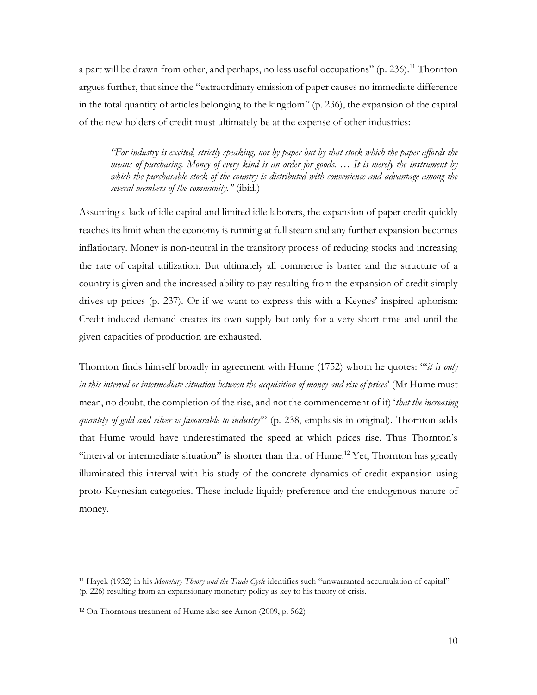a part will be drawn from other, and perhaps, no less useful occupations" (p. 236).<sup>11</sup> Thornton argues further, that since the "extraordinary emission of paper causes no immediate difference in the total quantity of articles belonging to the kingdom" (p. 236), the expansion of the capital of the new holders of credit must ultimately be at the expense of other industries:

*"For industry is excited, strictly speaking, not by paper but by that stock which the paper affords the means of purchasing. Money of every kind is an order for goods. … It is merely the instrument by which the purchasable stock of the country is distributed with convenience and advantage among the several members of the community."* (ibid.)

Assuming a lack of idle capital and limited idle laborers, the expansion of paper credit quickly reaches its limit when the economy is running at full steam and any further expansion becomes inflationary. Money is non-neutral in the transitory process of reducing stocks and increasing the rate of capital utilization. But ultimately all commerce is barter and the structure of a country is given and the increased ability to pay resulting from the expansion of credit simply drives up prices (p. 237). Or if we want to express this with a Keynes' inspired aphorism: Credit induced demand creates its own supply but only for a very short time and until the given capacities of production are exhausted.

Thornton finds himself broadly in agreement with Hume (1752) whom he quotes: "'*it is only in this interval or intermediate situation between the acquisition of money and rise of prices*' (Mr Hume must mean, no doubt, the completion of the rise, and not the commencement of it) '*that the increasing quantity of gold and silver is favourable to industry*'" (p. 238, emphasis in original). Thornton adds that Hume would have underestimated the speed at which prices rise. Thus Thornton's "interval or intermediate situation" is shorter than that of Hume.<sup>12</sup> Yet, Thornton has greatly illuminated this interval with his study of the concrete dynamics of credit expansion using proto-Keynesian categories. These include liquidy preference and the endogenous nature of money.

<sup>11</sup> Hayek (1932) in his *Monetary Theory and the Trade Cycle* identifies such "unwarranted accumulation of capital" (p. 226) resulting from an expansionary monetary policy as key to his theory of crisis.

<sup>12</sup> On Thorntons treatment of Hume also see Arnon (2009, p. 562)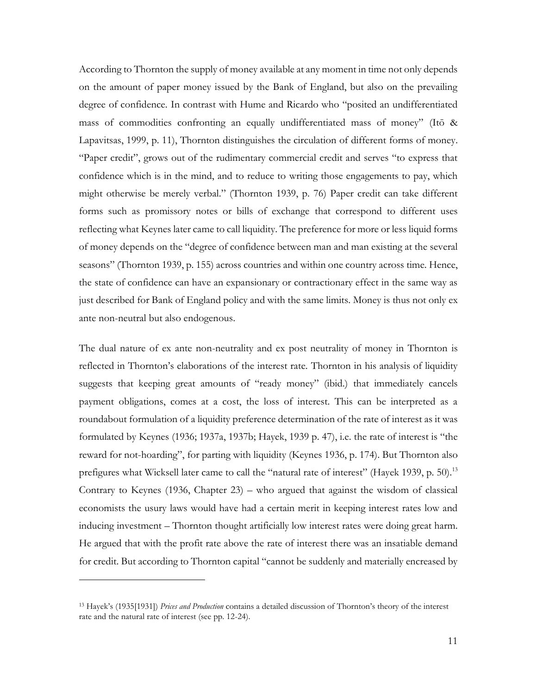According to Thornton the supply of money available at any moment in time not only depends on the amount of paper money issued by the Bank of England, but also on the prevailing degree of confidence. In contrast with Hume and Ricardo who "posited an undifferentiated mass of commodities confronting an equally undifferentiated mass of money" (Itō & Lapavitsas, 1999, p. 11), Thornton distinguishes the circulation of different forms of money. "Paper credit", grows out of the rudimentary commercial credit and serves "to express that confidence which is in the mind, and to reduce to writing those engagements to pay, which might otherwise be merely verbal." (Thornton 1939, p. 76) Paper credit can take different forms such as promissory notes or bills of exchange that correspond to different uses reflecting what Keynes later came to call liquidity. The preference for more or less liquid forms of money depends on the "degree of confidence between man and man existing at the several seasons" (Thornton 1939, p. 155) across countries and within one country across time. Hence, the state of confidence can have an expansionary or contractionary effect in the same way as just described for Bank of England policy and with the same limits. Money is thus not only ex ante non-neutral but also endogenous.

The dual nature of ex ante non-neutrality and ex post neutrality of money in Thornton is reflected in Thornton's elaborations of the interest rate. Thornton in his analysis of liquidity suggests that keeping great amounts of "ready money" (ibid.) that immediately cancels payment obligations, comes at a cost, the loss of interest. This can be interpreted as a roundabout formulation of a liquidity preference determination of the rate of interest as it was formulated by Keynes (1936; 1937a, 1937b; Hayek, 1939 p. 47), i.e. the rate of interest is "the reward for not-hoarding", for parting with liquidity (Keynes 1936, p. 174). But Thornton also prefigures what Wicksell later came to call the "natural rate of interest" (Hayek 1939, p. 50).<sup>13</sup> Contrary to Keynes (1936, Chapter 23) – who argued that against the wisdom of classical economists the usury laws would have had a certain merit in keeping interest rates low and inducing investment – Thornton thought artificially low interest rates were doing great harm. He argued that with the profit rate above the rate of interest there was an insatiable demand for credit. But according to Thornton capital "cannot be suddenly and materially encreased by

<sup>13</sup> Hayek's (1935[1931]) *Prices and Production* contains a detailed discussion of Thornton's theory of the interest rate and the natural rate of interest (see pp. 12-24).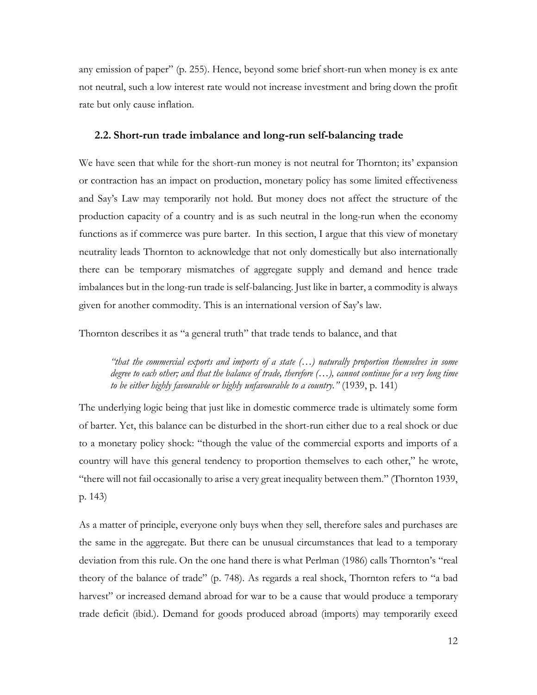any emission of paper" (p. 255). Hence, beyond some brief short-run when money is ex ante not neutral, such a low interest rate would not increase investment and bring down the profit rate but only cause inflation.

#### **2.2. Short-run trade imbalance and long-run self-balancing trade**

We have seen that while for the short-run money is not neutral for Thornton; its' expansion or contraction has an impact on production, monetary policy has some limited effectiveness and Say's Law may temporarily not hold. But money does not affect the structure of the production capacity of a country and is as such neutral in the long-run when the economy functions as if commerce was pure barter. In this section, I argue that this view of monetary neutrality leads Thornton to acknowledge that not only domestically but also internationally there can be temporary mismatches of aggregate supply and demand and hence trade imbalances but in the long-run trade is self-balancing. Just like in barter, a commodity is always given for another commodity. This is an international version of Say's law.

Thornton describes it as "a general truth" that trade tends to balance, and that

*"that the commercial exports and imports of a state (…) naturally proportion themselves in some degree to each other; and that the balance of trade, therefore (…), cannot continue for a very long time to be either highly favourable or highly unfavourable to a country."* (1939, p. 141)

The underlying logic being that just like in domestic commerce trade is ultimately some form of barter. Yet, this balance can be disturbed in the short-run either due to a real shock or due to a monetary policy shock: "though the value of the commercial exports and imports of a country will have this general tendency to proportion themselves to each other," he wrote, "there will not fail occasionally to arise a very great inequality between them." (Thornton 1939, p. 143)

As a matter of principle, everyone only buys when they sell, therefore sales and purchases are the same in the aggregate. But there can be unusual circumstances that lead to a temporary deviation from this rule. On the one hand there is what Perlman (1986) calls Thornton's "real theory of the balance of trade" (p. 748). As regards a real shock, Thornton refers to "a bad harvest" or increased demand abroad for war to be a cause that would produce a temporary trade deficit (ibid.). Demand for goods produced abroad (imports) may temporarily exeed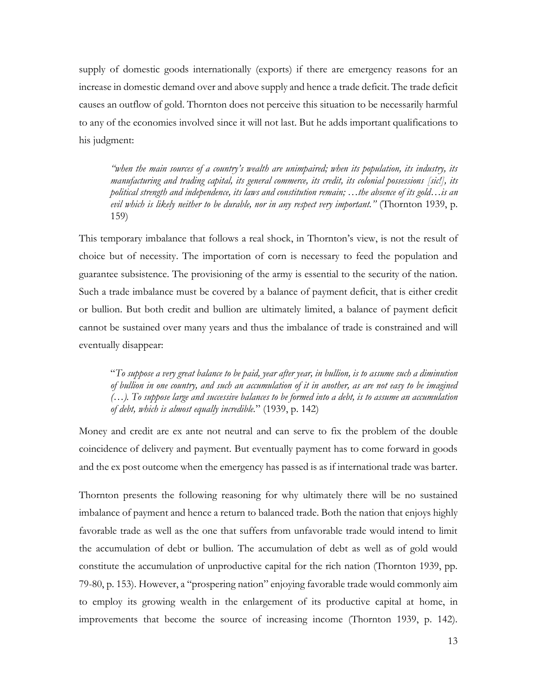supply of domestic goods internationally (exports) if there are emergency reasons for an increase in domestic demand over and above supply and hence a trade deficit. The trade deficit causes an outflow of gold. Thornton does not perceive this situation to be necessarily harmful to any of the economies involved since it will not last. But he adds important qualifications to his judgment:

*"when the main sources of a country's wealth are unimpaired; when its population, its industry, its manufacturing and trading capital, its general commerce, its credit, its colonial possessions [sic!], its political strength and independence, its laws and constitution remain; …the absence of its gold…is an evil which is likely neither to be durable, nor in any respect very important."* (Thornton 1939, p. 159)

This temporary imbalance that follows a real shock, in Thornton's view, is not the result of choice but of necessity. The importation of corn is necessary to feed the population and guarantee subsistence. The provisioning of the army is essential to the security of the nation. Such a trade imbalance must be covered by a balance of payment deficit, that is either credit or bullion. But both credit and bullion are ultimately limited, a balance of payment deficit cannot be sustained over many years and thus the imbalance of trade is constrained and will eventually disappear:

"*To suppose a very great balance to be paid, year after year, in bullion, is to assume such a diminution of bullion in one country, and such an accumulation of it in another, as are not easy to be imagined (…). To suppose large and successive balances to be formed into a debt, is to assume an accumulation of debt, which is almost equally incredible.*" (1939, p. 142)

Money and credit are ex ante not neutral and can serve to fix the problem of the double coincidence of delivery and payment. But eventually payment has to come forward in goods and the ex post outcome when the emergency has passed is as if international trade was barter.

Thornton presents the following reasoning for why ultimately there will be no sustained imbalance of payment and hence a return to balanced trade. Both the nation that enjoys highly favorable trade as well as the one that suffers from unfavorable trade would intend to limit the accumulation of debt or bullion. The accumulation of debt as well as of gold would constitute the accumulation of unproductive capital for the rich nation (Thornton 1939, pp. 79-80, p. 153). However, a "prospering nation" enjoying favorable trade would commonly aim to employ its growing wealth in the enlargement of its productive capital at home, in improvements that become the source of increasing income (Thornton 1939, p. 142).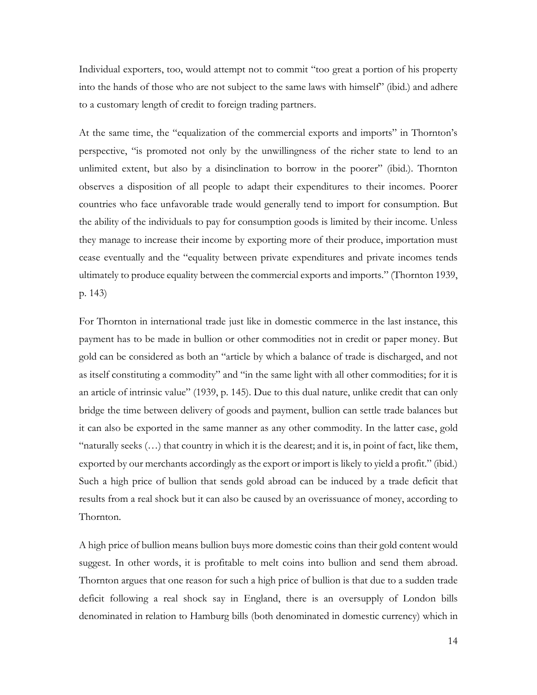Individual exporters, too, would attempt not to commit "too great a portion of his property into the hands of those who are not subject to the same laws with himself" (ibid.) and adhere to a customary length of credit to foreign trading partners.

At the same time, the "equalization of the commercial exports and imports" in Thornton's perspective, "is promoted not only by the unwillingness of the richer state to lend to an unlimited extent, but also by a disinclination to borrow in the poorer" (ibid.). Thornton observes a disposition of all people to adapt their expenditures to their incomes. Poorer countries who face unfavorable trade would generally tend to import for consumption. But the ability of the individuals to pay for consumption goods is limited by their income. Unless they manage to increase their income by exporting more of their produce, importation must cease eventually and the "equality between private expenditures and private incomes tends ultimately to produce equality between the commercial exports and imports." (Thornton 1939, p. 143)

For Thornton in international trade just like in domestic commerce in the last instance, this payment has to be made in bullion or other commodities not in credit or paper money. But gold can be considered as both an "article by which a balance of trade is discharged, and not as itself constituting a commodity" and "in the same light with all other commodities; for it is an article of intrinsic value" (1939, p. 145). Due to this dual nature, unlike credit that can only bridge the time between delivery of goods and payment, bullion can settle trade balances but it can also be exported in the same manner as any other commodity. In the latter case, gold "naturally seeks (…) that country in which it is the dearest; and it is, in point of fact, like them, exported by our merchants accordingly as the export or import is likely to yield a profit." (ibid.) Such a high price of bullion that sends gold abroad can be induced by a trade deficit that results from a real shock but it can also be caused by an overissuance of money, according to Thornton.

A high price of bullion means bullion buys more domestic coins than their gold content would suggest. In other words, it is profitable to melt coins into bullion and send them abroad. Thornton argues that one reason for such a high price of bullion is that due to a sudden trade deficit following a real shock say in England, there is an oversupply of London bills denominated in relation to Hamburg bills (both denominated in domestic currency) which in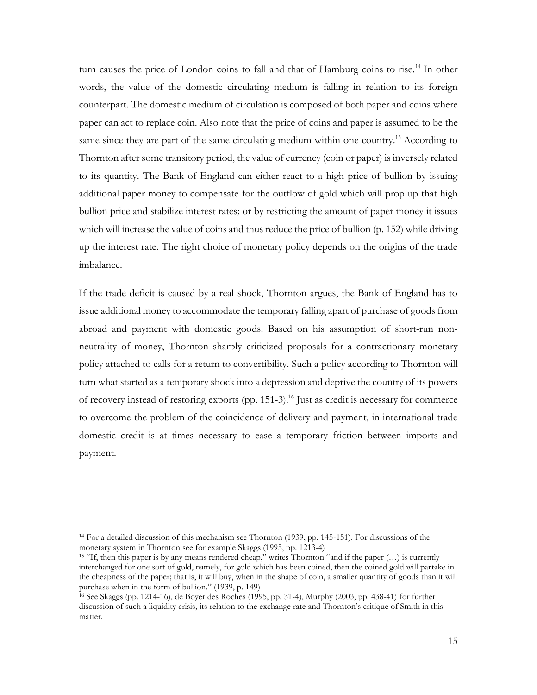turn causes the price of London coins to fall and that of Hamburg coins to rise.<sup>14</sup> In other words, the value of the domestic circulating medium is falling in relation to its foreign counterpart. The domestic medium of circulation is composed of both paper and coins where paper can act to replace coin. Also note that the price of coins and paper is assumed to be the same since they are part of the same circulating medium within one country.<sup>15</sup> According to Thornton after some transitory period, the value of currency (coin or paper) is inversely related to its quantity. The Bank of England can either react to a high price of bullion by issuing additional paper money to compensate for the outflow of gold which will prop up that high bullion price and stabilize interest rates; or by restricting the amount of paper money it issues which will increase the value of coins and thus reduce the price of bullion (p. 152) while driving up the interest rate. The right choice of monetary policy depends on the origins of the trade imbalance.

If the trade deficit is caused by a real shock, Thornton argues, the Bank of England has to issue additional money to accommodate the temporary falling apart of purchase of goods from abroad and payment with domestic goods. Based on his assumption of short-run nonneutrality of money, Thornton sharply criticized proposals for a contractionary monetary policy attached to calls for a return to convertibility. Such a policy according to Thornton will turn what started as a temporary shock into a depression and deprive the country of its powers of recovery instead of restoring exports (pp. 151-3). <sup>16</sup> Just as credit is necessary for commerce to overcome the problem of the coincidence of delivery and payment, in international trade domestic credit is at times necessary to ease a temporary friction between imports and payment.

<sup>14</sup> For a detailed discussion of this mechanism see Thornton (1939, pp. 145-151). For discussions of the monetary system in Thornton see for example Skaggs (1995, pp. 1213-4)

<sup>15</sup> "If, then this paper is by any means rendered cheap," writes Thornton "and if the paper (…) is currently interchanged for one sort of gold, namely, for gold which has been coined, then the coined gold will partake in the cheapness of the paper; that is, it will buy, when in the shape of coin, a smaller quantity of goods than it will purchase when in the form of bullion." (1939, p. 149)

<sup>16</sup> See Skaggs (pp. 1214-16), de Boyer des Roches (1995, pp. 31-4), Murphy (2003, pp. 438-41) for further discussion of such a liquidity crisis, its relation to the exchange rate and Thornton's critique of Smith in this matter.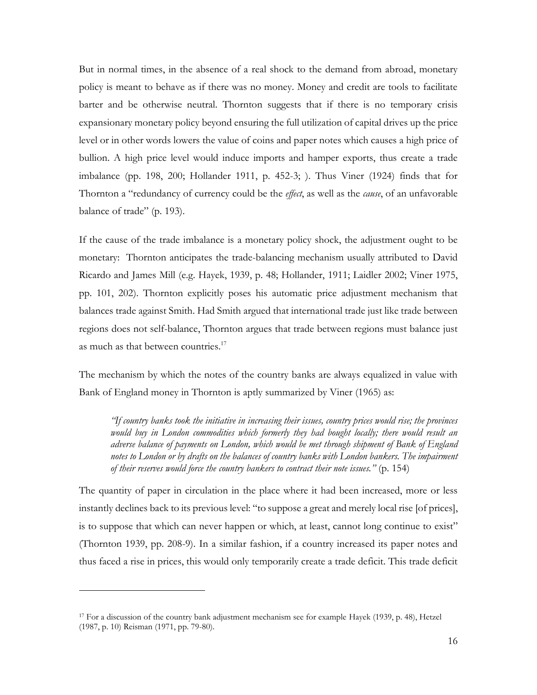But in normal times, in the absence of a real shock to the demand from abroad, monetary policy is meant to behave as if there was no money. Money and credit are tools to facilitate barter and be otherwise neutral. Thornton suggests that if there is no temporary crisis expansionary monetary policy beyond ensuring the full utilization of capital drives up the price level or in other words lowers the value of coins and paper notes which causes a high price of bullion. A high price level would induce imports and hamper exports, thus create a trade imbalance (pp. 198, 200; Hollander 1911, p. 452-3; ). Thus Viner (1924) finds that for Thornton a "redundancy of currency could be the *effect*, as well as the *cause*, of an unfavorable balance of trade" (p. 193).

If the cause of the trade imbalance is a monetary policy shock, the adjustment ought to be monetary: Thornton anticipates the trade-balancing mechanism usually attributed to David Ricardo and James Mill (e.g. Hayek, 1939, p. 48; Hollander, 1911; Laidler 2002; Viner 1975, pp. 101, 202). Thornton explicitly poses his automatic price adjustment mechanism that balances trade against Smith. Had Smith argued that international trade just like trade between regions does not self-balance, Thornton argues that trade between regions must balance just as much as that between countries.<sup>17</sup>

The mechanism by which the notes of the country banks are always equalized in value with Bank of England money in Thornton is aptly summarized by Viner (1965) as:

*"If country banks took the initiative in increasing their issues, country prices would rise; the provinces would buy in London commodities which formerly they had bought locally; there would result an adverse balance of payments on London, which would be met through shipment of Bank of England*  notes to London or by drafts on the balances of country banks with London bankers. The impairment *of their reserves would force the country bankers to contract their note issues."* (p. 154)

The quantity of paper in circulation in the place where it had been increased, more or less instantly declines back to its previous level: "to suppose a great and merely local rise [of prices], is to suppose that which can never happen or which, at least, cannot long continue to exist" (Thornton 1939, pp. 208-9). In a similar fashion, if a country increased its paper notes and thus faced a rise in prices, this would only temporarily create a trade deficit. This trade deficit

<sup>17</sup> For a discussion of the country bank adjustment mechanism see for example Hayek (1939, p. 48), Hetzel (1987, p. 10) Reisman (1971, pp. 79-80).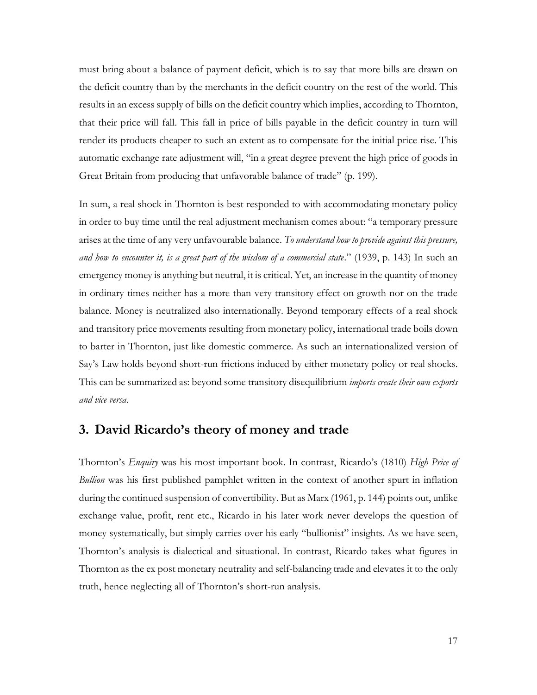must bring about a balance of payment deficit, which is to say that more bills are drawn on the deficit country than by the merchants in the deficit country on the rest of the world. This results in an excess supply of bills on the deficit country which implies, according to Thornton, that their price will fall. This fall in price of bills payable in the deficit country in turn will render its products cheaper to such an extent as to compensate for the initial price rise. This automatic exchange rate adjustment will, "in a great degree prevent the high price of goods in Great Britain from producing that unfavorable balance of trade" (p. 199).

In sum, a real shock in Thornton is best responded to with accommodating monetary policy in order to buy time until the real adjustment mechanism comes about: "a temporary pressure arises at the time of any very unfavourable balance. *To understand how to provide against this pressure, and how to encounter it, is a great part of the wisdom of a commercial state*." (1939, p. 143) In such an emergency money is anything but neutral, it is critical. Yet, an increase in the quantity of money in ordinary times neither has a more than very transitory effect on growth nor on the trade balance. Money is neutralized also internationally. Beyond temporary effects of a real shock and transitory price movements resulting from monetary policy, international trade boils down to barter in Thornton, just like domestic commerce. As such an internationalized version of Say's Law holds beyond short-run frictions induced by either monetary policy or real shocks. This can be summarized as: beyond some transitory disequilibrium *imports create their own exports and vice versa*.

## **3. David Ricardo's theory of money and trade**

Thornton's *Enquiry* was his most important book. In contrast, Ricardo's (1810) *High Price of Bullion* was his first published pamphlet written in the context of another spurt in inflation during the continued suspension of convertibility. But as Marx (1961, p. 144) points out, unlike exchange value, profit, rent etc., Ricardo in his later work never develops the question of money systematically, but simply carries over his early "bullionist" insights. As we have seen, Thornton's analysis is dialectical and situational. In contrast, Ricardo takes what figures in Thornton as the ex post monetary neutrality and self-balancing trade and elevates it to the only truth, hence neglecting all of Thornton's short-run analysis.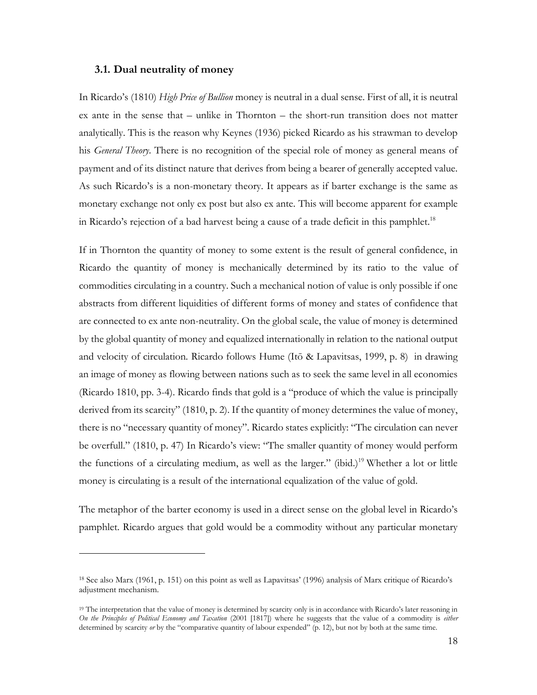#### **3.1. Dual neutrality of money**

In Ricardo's (1810) *High Price of Bullion* money is neutral in a dual sense. First of all, it is neutral ex ante in the sense that – unlike in Thornton – the short-run transition does not matter analytically. This is the reason why Keynes (1936) picked Ricardo as his strawman to develop his *General Theory*. There is no recognition of the special role of money as general means of payment and of its distinct nature that derives from being a bearer of generally accepted value. As such Ricardo's is a non-monetary theory. It appears as if barter exchange is the same as monetary exchange not only ex post but also ex ante. This will become apparent for example in Ricardo's rejection of a bad harvest being a cause of a trade deficit in this pamphlet.<sup>18</sup>

If in Thornton the quantity of money to some extent is the result of general confidence, in Ricardo the quantity of money is mechanically determined by its ratio to the value of commodities circulating in a country. Such a mechanical notion of value is only possible if one abstracts from different liquidities of different forms of money and states of confidence that are connected to ex ante non-neutrality. On the global scale, the value of money is determined by the global quantity of money and equalized internationally in relation to the national output and velocity of circulation. Ricardo follows Hume (Itō & Lapavitsas, 1999, p. 8) in drawing an image of money as flowing between nations such as to seek the same level in all economies (Ricardo 1810, pp. 3-4). Ricardo finds that gold is a "produce of which the value is principally derived from its scarcity" (1810, p. 2). If the quantity of money determines the value of money, there is no "necessary quantity of money". Ricardo states explicitly: "The circulation can never be overfull." (1810, p. 47) In Ricardo's view: "The smaller quantity of money would perform the functions of a circulating medium, as well as the larger." (ibid.)<sup>19</sup> Whether a lot or little money is circulating is a result of the international equalization of the value of gold.

The metaphor of the barter economy is used in a direct sense on the global level in Ricardo's pamphlet. Ricardo argues that gold would be a commodity without any particular monetary

<sup>18</sup> See also Marx (1961, p. 151) on this point as well as Lapavitsas' (1996) analysis of Marx critique of Ricardo's adjustment mechanism.

<sup>&</sup>lt;sup>19</sup> The interpretation that the value of money is determined by scarcity only is in accordance with Ricardo's later reasoning in *On the Principles of Political Economy and Taxation* (2001 [1817]) where he suggests that the value of a commodity is *either* determined by scarcity *or* by the "comparative quantity of labour expended" (p. 12), but not by both at the same time.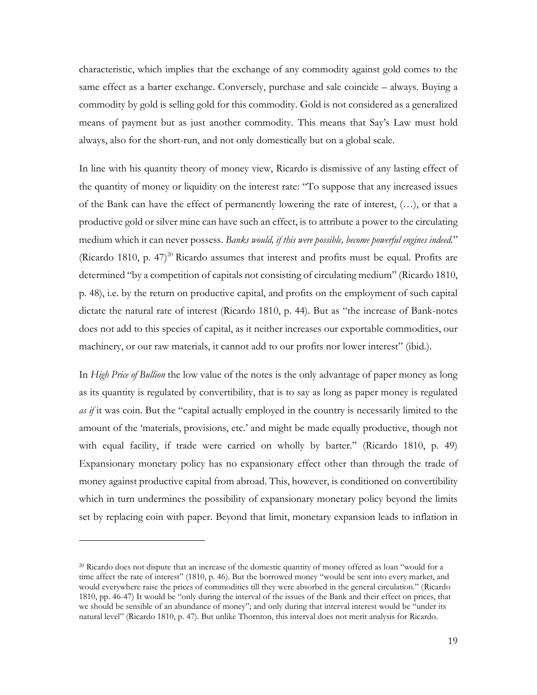characteristic, which implies that the exchange of any commodity against gold comes to the same effect as a barter exchange. Conversely, purchase and sale coincide – always. Buying a commodity by gold is selling gold for this commodity. Gold is not considered as a generalized means of payment but as just another commodity. This means that Say's Law must hold always, also for the short-run, and not only domestically but on a global scale.

In line with his quantity theory of money view, Ricardo is dismissive of any lasting effect of the quantity of money or liquidity on the interest rate: "To suppose that any increased issues of the Bank can have the effect of permanently lowering the rate of interest, (…), or that a productive gold or silver mine can have such an effect, is to attribute a power to the circulating medium which it can never possess. *Banks would, if this were possible, become powerful engines indeed.*" (Ricardo 1810, p. 47)<sup>20</sup> Ricardo assumes that interest and profits must be equal. Profits are determined "by a competition of capitals not consisting of circulating medium" (Ricardo 1810, p. 48), i.e. by the return on productive capital, and profits on the employment of such capital dictate the natural rate of interest (Ricardo 1810, p. 44). But as "the increase of Bank-notes does not add to this species of capital, as it neither increases our exportable commodities, our machinery, or our raw materials, it cannot add to our profits nor lower interest" (ibid.).

In *High Price of Bullion* the low value of the notes is the only advantage of paper money as long as its quantity is regulated by convertibility, that is to say as long as paper money is regulated *as if* it was coin. But the "capital actually employed in the country is necessarily limited to the amount of the 'materials, provisions, etc.' and might be made equally productive, though not with equal facility, if trade were carried on wholly by barter." (Ricardo 1810, p. 49) Expansionary monetary policy has no expansionary effect other than through the trade of money against productive capital from abroad. This, however, is conditioned on convertibility which in turn undermines the possibility of expansionary monetary policy beyond the limits set by replacing coin with paper. Beyond that limit, monetary expansion leads to inflation in

<sup>&</sup>lt;sup>20</sup> Ricardo does not dispute that an increase of the domestic quantity of money offered as loan "would for a time affect the rate of interest" (1810, p. 46). But the borrowed money "would be sent into every market, and would everywhere raise the prices of commodities till they were absorbed in the general circulation." (Ricardo 1810, pp. 46-47) It would be "only during the interval of the issues of the Bank and their effect on prices, that we should be sensible of an abundance of money"; and only during that interval interest would be "under its natural level" (Ricardo 1810, p. 47). But unlike Thornton, this interval does not merit analysis for Ricardo.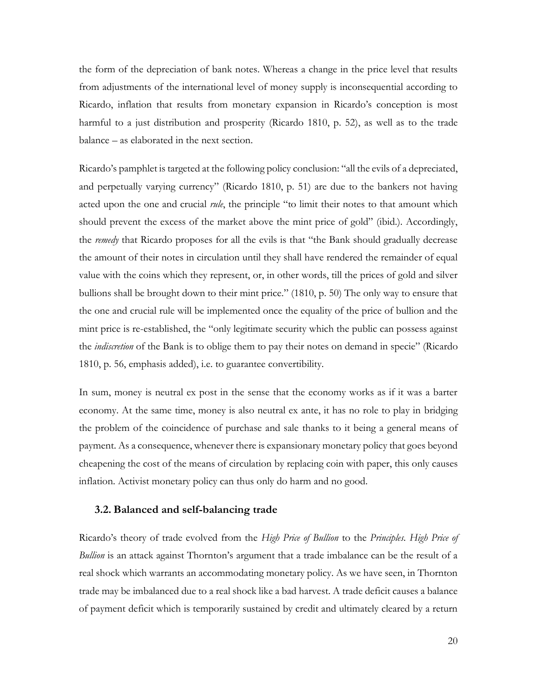the form of the depreciation of bank notes. Whereas a change in the price level that results from adjustments of the international level of money supply is inconsequential according to Ricardo, inflation that results from monetary expansion in Ricardo's conception is most harmful to a just distribution and prosperity (Ricardo 1810, p. 52), as well as to the trade balance – as elaborated in the next section.

Ricardo's pamphlet is targeted at the following policy conclusion: "all the evils of a depreciated, and perpetually varying currency" (Ricardo 1810, p. 51) are due to the bankers not having acted upon the one and crucial *rule*, the principle "to limit their notes to that amount which should prevent the excess of the market above the mint price of gold" (ibid.). Accordingly, the *remedy* that Ricardo proposes for all the evils is that "the Bank should gradually decrease the amount of their notes in circulation until they shall have rendered the remainder of equal value with the coins which they represent, or, in other words, till the prices of gold and silver bullions shall be brought down to their mint price." (1810, p. 50) The only way to ensure that the one and crucial rule will be implemented once the equality of the price of bullion and the mint price is re-established, the "only legitimate security which the public can possess against the *indiscretion* of the Bank is to oblige them to pay their notes on demand in specie" (Ricardo 1810, p. 56, emphasis added), i.e. to guarantee convertibility.

In sum, money is neutral ex post in the sense that the economy works as if it was a barter economy. At the same time, money is also neutral ex ante, it has no role to play in bridging the problem of the coincidence of purchase and sale thanks to it being a general means of payment. As a consequence, whenever there is expansionary monetary policy that goes beyond cheapening the cost of the means of circulation by replacing coin with paper, this only causes inflation. Activist monetary policy can thus only do harm and no good.

#### **3.2. Balanced and self-balancing trade**

Ricardo's theory of trade evolved from the *High Price of Bullion* to the *Principles. High Price of Bullion* is an attack against Thornton's argument that a trade imbalance can be the result of a real shock which warrants an accommodating monetary policy. As we have seen, in Thornton trade may be imbalanced due to a real shock like a bad harvest. A trade deficit causes a balance of payment deficit which is temporarily sustained by credit and ultimately cleared by a return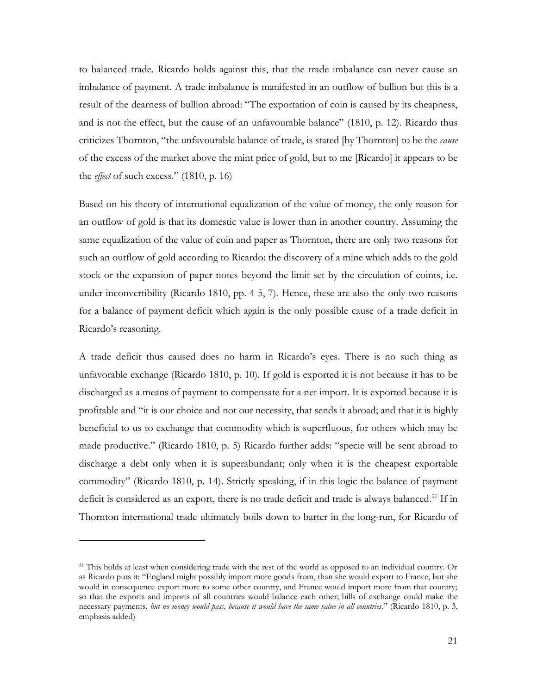to balanced trade. Ricardo holds against this, that the trade imbalance can never cause an imbalance of payment. A trade imbalance is manifested in an outflow of bullion but this is a result of the dearness of bullion abroad: "The exportation of coin is caused by its cheapness, and is not the effect, but the cause of an unfavourable balance" (1810, p. 12). Ricardo thus criticizes Thornton, "the unfavourable balance of trade, is stated [by Thornton] to be the *cause* of the excess of the market above the mint price of gold, but to me [Ricardo] it appears to be the *effect* of such excess." (1810, p. 16)

Based on his theory of international equalization of the value of money, the only reason for an outflow of gold is that its domestic value is lower than in another country. Assuming the same equalization of the value of coin and paper as Thornton, there are only two reasons for such an outflow of gold according to Ricardo: the discovery of a mine which adds to the gold stock or the expansion of paper notes beyond the limit set by the circulation of coints, i.e. under inconvertibility (Ricardo 1810, pp. 4-5, 7). Hence, these are also the only two reasons for a balance of payment deficit which again is the only possible cause of a trade deficit in Ricardo's reasoning.

A trade deficit thus caused does no harm in Ricardo's eyes. There is no such thing as unfavorable exchange (Ricardo 1810, p. 10). If gold is exported it is not because it has to be discharged as a means of payment to compensate for a net import. It is exported because it is profitable and "it is our choice and not our necessity, that sends it abroad; and that it is highly beneficial to us to exchange that commodity which is superfluous, for others which may be made productive." (Ricardo 1810, p. 5) Ricardo further adds: "specie will be sent abroad to discharge a debt only when it is superabundant; only when it is the cheapest exportable commodity" (Ricardo 1810, p. 14). Strictly speaking, if in this logic the balance of payment deficit is considered as an export, there is no trade deficit and trade is always balanced.<sup>21</sup> If in Thornton international trade ultimately boils down to barter in the long-run, for Ricardo of

<sup>&</sup>lt;sup>21</sup> This holds at least when considering trade with the rest of the world as opposed to an individual country. Or as Ricardo puts it: "England might possibly import more goods from, than she would export to France, but she would in consequence export more to some other country, and France would import more from that country; so that the exports and imports of all countries would balance each other; bills of exchange could make the necessary payments, *but no money would pass, because it would have the same value in all countries*." (Ricardo 1810, p. 3, emphasis added)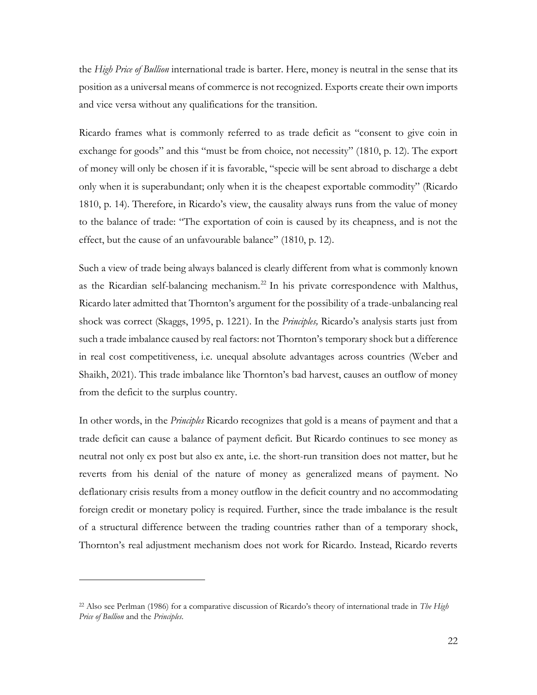the *High Price of Bullion* international trade is barter. Here, money is neutral in the sense that its position as a universal means of commerce is not recognized. Exports create their own imports and vice versa without any qualifications for the transition.

Ricardo frames what is commonly referred to as trade deficit as "consent to give coin in exchange for goods" and this "must be from choice, not necessity" (1810, p. 12). The export of money will only be chosen if it is favorable, "specie will be sent abroad to discharge a debt only when it is superabundant; only when it is the cheapest exportable commodity" (Ricardo 1810, p. 14). Therefore, in Ricardo's view, the causality always runs from the value of money to the balance of trade: "The exportation of coin is caused by its cheapness, and is not the effect, but the cause of an unfavourable balance" (1810, p. 12).

Such a view of trade being always balanced is clearly different from what is commonly known as the Ricardian self-balancing mechanism.<sup>22</sup> In his private correspondence with Malthus, Ricardo later admitted that Thornton's argument for the possibility of a trade-unbalancing real shock was correct (Skaggs, 1995, p. 1221). In the *Principles,* Ricardo's analysis starts just from such a trade imbalance caused by real factors: not Thornton's temporary shock but a difference in real cost competitiveness, i.e. unequal absolute advantages across countries (Weber and Shaikh, 2021). This trade imbalance like Thornton's bad harvest, causes an outflow of money from the deficit to the surplus country.

In other words, in the *Principles* Ricardo recognizes that gold is a means of payment and that a trade deficit can cause a balance of payment deficit. But Ricardo continues to see money as neutral not only ex post but also ex ante, i.e. the short-run transition does not matter, but he reverts from his denial of the nature of money as generalized means of payment. No deflationary crisis results from a money outflow in the deficit country and no accommodating foreign credit or monetary policy is required. Further, since the trade imbalance is the result of a structural difference between the trading countries rather than of a temporary shock, Thornton's real adjustment mechanism does not work for Ricardo. Instead, Ricardo reverts

<sup>22</sup> Also see Perlman (1986) for a comparative discussion of Ricardo's theory of international trade in *The High Price of Bullion* and the *Principles*.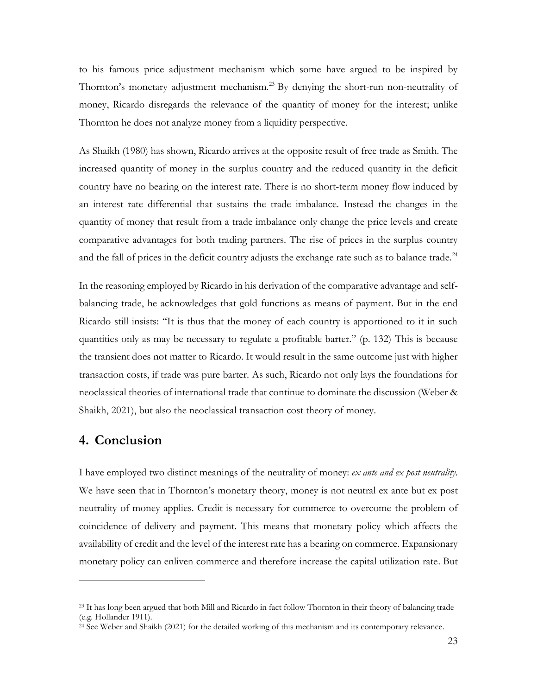to his famous price adjustment mechanism which some have argued to be inspired by Thornton's monetary adjustment mechanism.<sup>23</sup> By denying the short-run non-neutrality of money, Ricardo disregards the relevance of the quantity of money for the interest; unlike Thornton he does not analyze money from a liquidity perspective.

As Shaikh (1980) has shown, Ricardo arrives at the opposite result of free trade as Smith. The increased quantity of money in the surplus country and the reduced quantity in the deficit country have no bearing on the interest rate. There is no short-term money flow induced by an interest rate differential that sustains the trade imbalance. Instead the changes in the quantity of money that result from a trade imbalance only change the price levels and create comparative advantages for both trading partners. The rise of prices in the surplus country and the fall of prices in the deficit country adjusts the exchange rate such as to balance trade.<sup>24</sup>

In the reasoning employed by Ricardo in his derivation of the comparative advantage and selfbalancing trade, he acknowledges that gold functions as means of payment. But in the end Ricardo still insists: "It is thus that the money of each country is apportioned to it in such quantities only as may be necessary to regulate a profitable barter." (p. 132) This is because the transient does not matter to Ricardo. It would result in the same outcome just with higher transaction costs, if trade was pure barter. As such, Ricardo not only lays the foundations for neoclassical theories of international trade that continue to dominate the discussion (Weber & Shaikh, 2021), but also the neoclassical transaction cost theory of money.

## **4. Conclusion**

I have employed two distinct meanings of the neutrality of money: *ex ante and ex post neutrality*. We have seen that in Thornton's monetary theory, money is not neutral ex ante but ex post neutrality of money applies. Credit is necessary for commerce to overcome the problem of coincidence of delivery and payment. This means that monetary policy which affects the availability of credit and the level of the interest rate has a bearing on commerce. Expansionary monetary policy can enliven commerce and therefore increase the capital utilization rate. But

<sup>&</sup>lt;sup>23</sup> It has long been argued that both Mill and Ricardo in fact follow Thornton in their theory of balancing trade (e.g. Hollander 1911).

<sup>&</sup>lt;sup>24</sup> See Weber and Shaikh (2021) for the detailed working of this mechanism and its contemporary relevance.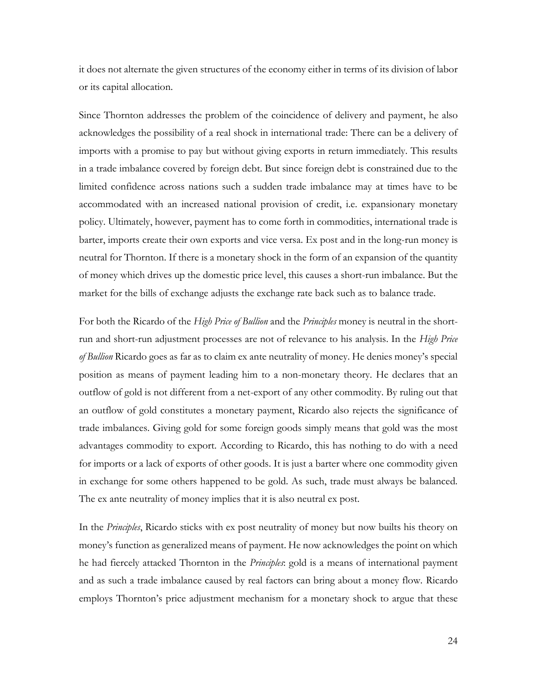it does not alternate the given structures of the economy either in terms of its division of labor or its capital allocation.

Since Thornton addresses the problem of the coincidence of delivery and payment, he also acknowledges the possibility of a real shock in international trade: There can be a delivery of imports with a promise to pay but without giving exports in return immediately. This results in a trade imbalance covered by foreign debt. But since foreign debt is constrained due to the limited confidence across nations such a sudden trade imbalance may at times have to be accommodated with an increased national provision of credit, i.e. expansionary monetary policy. Ultimately, however, payment has to come forth in commodities, international trade is barter, imports create their own exports and vice versa. Ex post and in the long-run money is neutral for Thornton. If there is a monetary shock in the form of an expansion of the quantity of money which drives up the domestic price level, this causes a short-run imbalance. But the market for the bills of exchange adjusts the exchange rate back such as to balance trade.

For both the Ricardo of the *High Price of Bullion* and the *Principles* money is neutral in the shortrun and short-run adjustment processes are not of relevance to his analysis. In the *High Price of Bullion* Ricardo goes as far as to claim ex ante neutrality of money. He denies money's special position as means of payment leading him to a non-monetary theory. He declares that an outflow of gold is not different from a net-export of any other commodity. By ruling out that an outflow of gold constitutes a monetary payment, Ricardo also rejects the significance of trade imbalances. Giving gold for some foreign goods simply means that gold was the most advantages commodity to export. According to Ricardo, this has nothing to do with a need for imports or a lack of exports of other goods. It is just a barter where one commodity given in exchange for some others happened to be gold. As such, trade must always be balanced. The ex ante neutrality of money implies that it is also neutral ex post.

In the *Principles*, Ricardo sticks with ex post neutrality of money but now builts his theory on money's function as generalized means of payment. He now acknowledges the point on which he had fiercely attacked Thornton in the *Principles*: gold is a means of international payment and as such a trade imbalance caused by real factors can bring about a money flow. Ricardo employs Thornton's price adjustment mechanism for a monetary shock to argue that these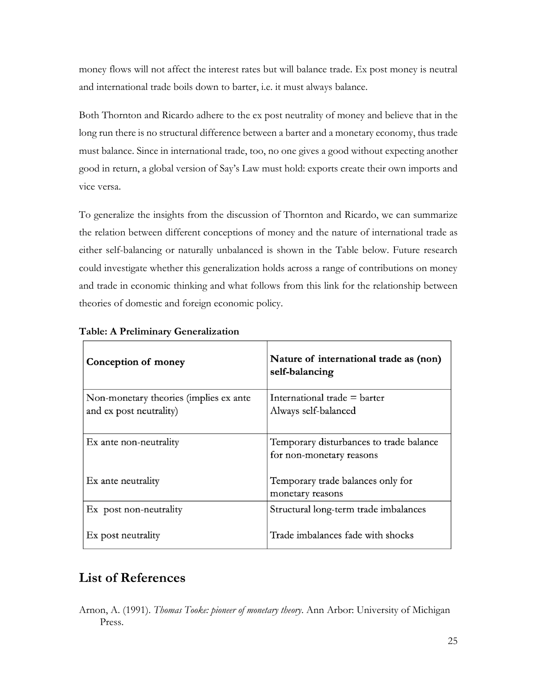money flows will not affect the interest rates but will balance trade. Ex post money is neutral and international trade boils down to barter, i.e. it must always balance.

Both Thornton and Ricardo adhere to the ex post neutrality of money and believe that in the long run there is no structural difference between a barter and a monetary economy, thus trade must balance. Since in international trade, too, no one gives a good without expecting another good in return, a global version of Say's Law must hold: exports create their own imports and vice versa.

To generalize the insights from the discussion of Thornton and Ricardo, we can summarize the relation between different conceptions of money and the nature of international trade as either self-balancing or naturally unbalanced is shown in the Table below. Future research could investigate whether this generalization holds across a range of contributions on money and trade in economic thinking and what follows from this link for the relationship between theories of domestic and foreign economic policy.

| Conception of money                                               | Nature of international trade as (non)<br>self-balancing            |
|-------------------------------------------------------------------|---------------------------------------------------------------------|
| Non-monetary theories (implies ex ante<br>and ex post neutrality) | International trade $=$ barter<br>Always self-balanced              |
| Ex ante non-neutrality                                            | Temporary disturbances to trade balance<br>for non-monetary reasons |
| Ex ante neutrality                                                | Temporary trade balances only for<br>monetary reasons               |
| Ex post non-neutrality                                            | Structural long-term trade imbalances                               |
| Ex post neutrality                                                | Trade imbalances fade with shocks                                   |

#### **Table: A Preliminary Generalization**

## **List of References**

Arnon, A. (1991). *Thomas Tooke: pioneer of monetary theory*. Ann Arbor: University of Michigan Press.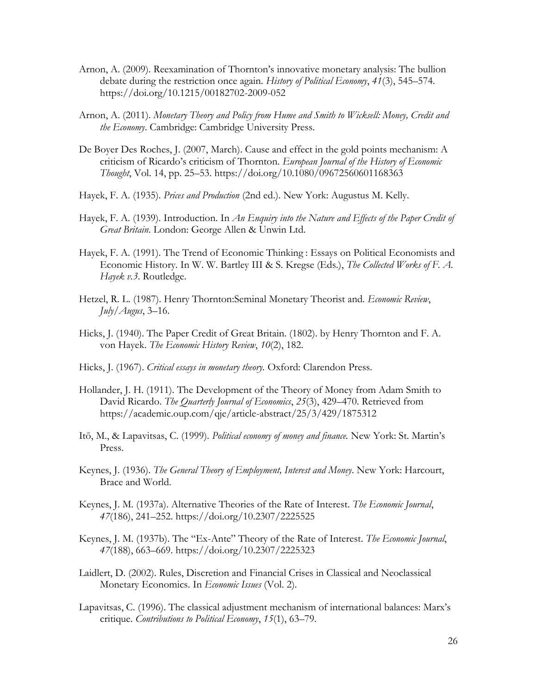- Arnon, A. (2009). Reexamination of Thornton's innovative monetary analysis: The bullion debate during the restriction once again. *History of Political Economy*, *41*(3), 545–574. https://doi.org/10.1215/00182702-2009-052
- Arnon, A. (2011). *Monetary Theory and Policy from Hume and Smith to Wicksell: Money, Credit and the Economy*. Cambridge: Cambridge University Press.
- De Boyer Des Roches, J. (2007, March). Cause and effect in the gold points mechanism: A criticism of Ricardo's criticism of Thornton. *European Journal of the History of Economic Thought*, Vol. 14, pp. 25–53. https://doi.org/10.1080/09672560601168363
- Hayek, F. A. (1935). *Prices and Production* (2nd ed.). New York: Augustus M. Kelly.
- Hayek, F. A. (1939). Introduction. In *An Enquiry into the Nature and Effects of the Paper Credit of Great Britain*. London: George Allen & Unwin Ltd.
- Hayek, F. A. (1991). The Trend of Economic Thinking : Essays on Political Economists and Economic History. In W. W. Bartley III & S. Kregse (Eds.), *The Collected Works of F. A. Hayek v.3*. Routledge.
- Hetzel, R. L. (1987). Henry Thornton:Seminal Monetary Theorist and. *Economic Review*, *July/Augus*, 3–16.
- Hicks, J. (1940). The Paper Credit of Great Britain. (1802). by Henry Thornton and F. A. von Hayek. *The Economic History Review*, *10*(2), 182.
- Hicks, J. (1967). *Critical essays in monetary theory.* Oxford: Clarendon Press.
- Hollander, J. H. (1911). The Development of the Theory of Money from Adam Smith to David Ricardo. *The Quarterly Journal of Economics*, *25*(3), 429–470. Retrieved from https://academic.oup.com/qje/article-abstract/25/3/429/1875312
- Itō, M., & Lapavitsas, C. (1999). *Political economy of money and finance.* New York: St. Martin's Press.
- Keynes, J. (1936). *The General Theory of Employment, Interest and Money*. New York: Harcourt, Brace and World.
- Keynes, J. M. (1937a). Alternative Theories of the Rate of Interest. *The Economic Journal*, *47*(186), 241–252. https://doi.org/10.2307/2225525
- Keynes, J. M. (1937b). The "Ex-Ante" Theory of the Rate of Interest. *The Economic Journal*, *47*(188), 663–669. https://doi.org/10.2307/2225323
- Laidlert, D. (2002). Rules, Discretion and Financial Crises in Classical and Neoclassical Monetary Economics. In *Economic Issues* (Vol. 2).
- Lapavitsas, C. (1996). The classical adjustment mechanism of international balances: Marx's critique. *Contributions to Political Economy*, *15*(1), 63–79.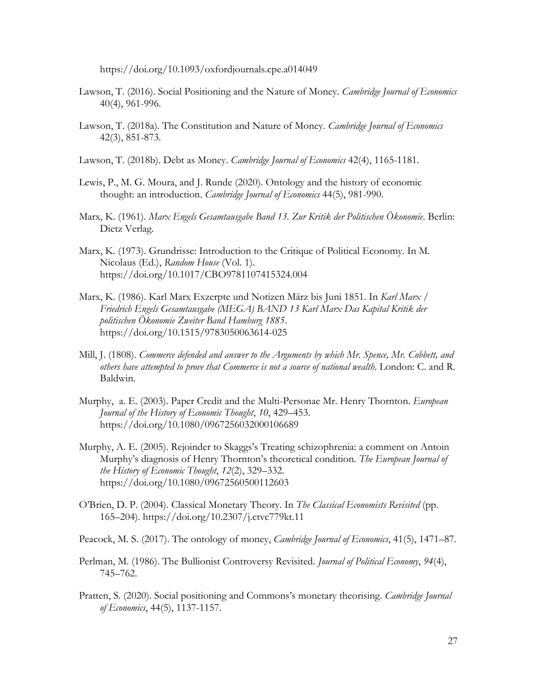https://doi.org/10.1093/oxfordjournals.cpe.a014049

- Lawson, T. (2016). Social Positioning and the Nature of Money. *Cambridge Journal of Economics* 40(4), 961-996.
- Lawson, T. (2018a). The Constitution and Nature of Money. *Cambridge Journal of Economics* 42(3), 851-873.
- Lawson, T. (2018b). Debt as Money. *Cambridge Journal of Economics* 42(4), 1165-1181.
- Lewis, P., M. G. Moura, and J. Runde (2020). Ontology and the history of economic thought: an introduction. *Cambridge Journal of Economics* 44(5), 981-990.
- Marx, K. (1961). *Marx Engels Gesamtausgabe Band 13. Zur Kritik der Politischen Ökonomie*. Berlin: Dietz Verlag.
- Marx, K. (1973). Grundrisse: Introduction to the Critique of Political Economy. In M. Nicolaus (Ed.), *Random House* (Vol. 1). https://doi.org/10.1017/CBO9781107415324.004
- Marx, K. (1986). Karl Marx Exzerpte und Notizen März bis Juni 1851. In *Karl Marx / Friedrich Engels Gesamtausgabe (MEGA) BAND 13 Karl Marx Das Kapital Kritik der politischen Ökonomie Zweiter Band Hamburg 1885*. https://doi.org/10.1515/9783050063614-025
- Mill, J. (1808). *Commerce defended and answer to the Arguments by which Mr. Spence, Mr. Cobbett, and others have attempted to prove that Commerce is not a source of national wealth*. London: C. and R. Baldwin.
- Murphy, a. E. (2003). Paper Credit and the Multi-Personae Mr. Henry Thornton. *European Journal of the History of Economic Thought*, *10*, 429–453. https://doi.org/10.1080/0967256032000106689
- Murphy, A. E. (2005). Rejoinder to Skaggs's Treating schizophrenia: a comment on Antoin Murphy's diagnosis of Henry Thornton's theoretical condition. *The European Journal of the History of Economic Thought*, *12*(2), 329–332. https://doi.org/10.1080/09672560500112603
- O'Brien, D. P. (2004). Classical Monetary Theory. In *The Classical Economists Revisited* (pp. 165–204). https://doi.org/10.2307/j.ctvc779kt.11

Peacock, M. S. (2017). The ontology of money, *Cambridge Journal of Economics*, 41(5), 1471–87.

- Perlman, M. (1986). The Bullionist Controversy Revisited. *Journal of Political Economy*, *94*(4), 745–762.
- Pratten, S. (2020). Social positioning and Commons's monetary theorising. *Cambridge Journal of Economics*, 44(5), 1137-1157.